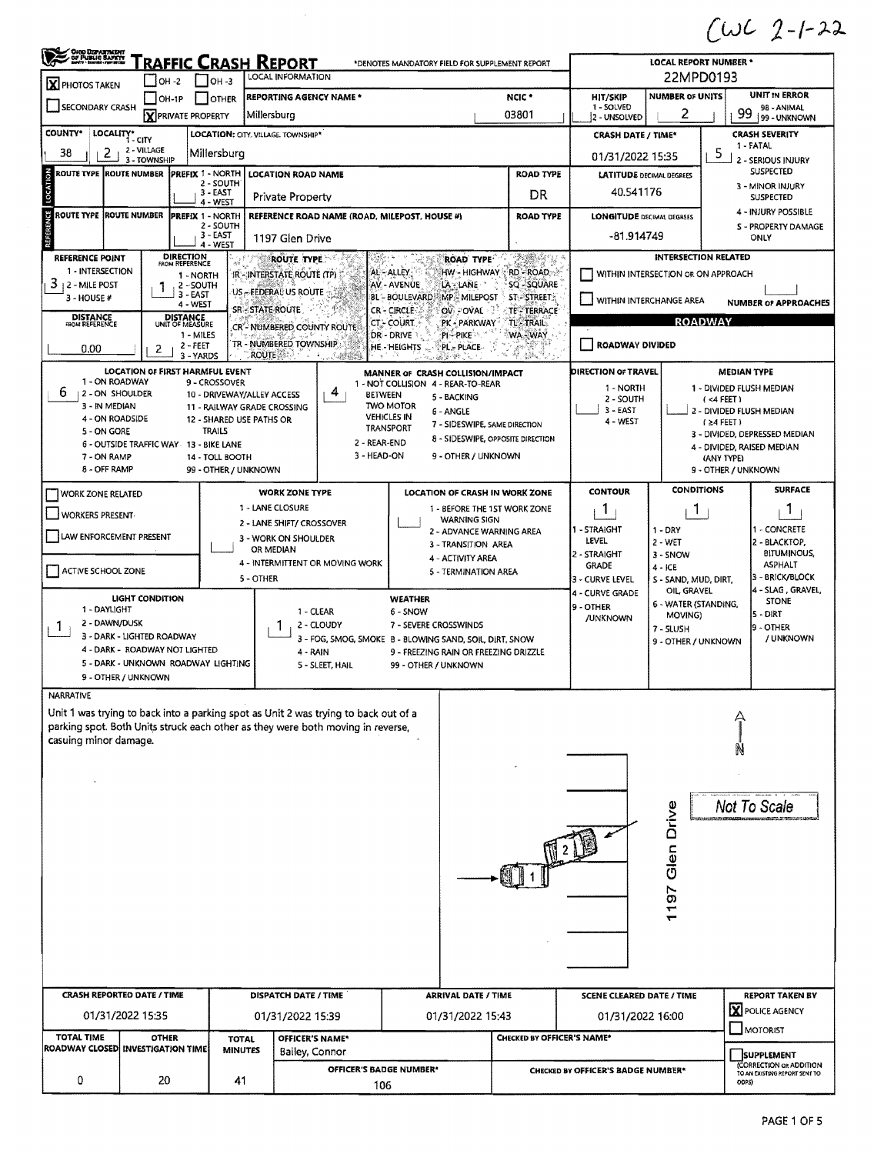$CUC$  2-1-22

|                                                        | <b>OHOO DEPARTMENT</b><br>OF PUBLIC BAPETY<br><u>RAFFIC CRASH REPORT</u><br><b>LOCAL REPORT NUMBER *</b><br>*DENOTES MANDATORY FIELD FOR SUPPLEMENT REPORT |                                              |                                      |                                                         |                                                                                                                                                                        |                                        |                                                                    |                            |                                                          |                                          |                                      |                                                          |  |  |
|--------------------------------------------------------|------------------------------------------------------------------------------------------------------------------------------------------------------------|----------------------------------------------|--------------------------------------|---------------------------------------------------------|------------------------------------------------------------------------------------------------------------------------------------------------------------------------|----------------------------------------|--------------------------------------------------------------------|----------------------------|----------------------------------------------------------|------------------------------------------|--------------------------------------|----------------------------------------------------------|--|--|
| X PHOTOS TAKEN                                         |                                                                                                                                                            | $IOH -2$                                     | $IOH - 3$                            | LOCAL INFORMATION                                       |                                                                                                                                                                        |                                        |                                                                    |                            |                                                          | 22MPD0193                                |                                      |                                                          |  |  |
| SECONDARY CRASH                                        |                                                                                                                                                            | $LOH-1P$                                     | <b>I</b> OTHER                       | <b>REPORTING AGENCY NAME *</b>                          |                                                                                                                                                                        |                                        |                                                                    | NCIC <sup>*</sup>          | HIT/SKIP<br>1 - SOLVED                                   | <b>NUMBER OF UNITS</b>                   |                                      | <b>UNIT IN ERROR</b>                                     |  |  |
|                                                        |                                                                                                                                                            | <b>X</b> PRIVATE PROPERTY                    |                                      | Millersburg                                             |                                                                                                                                                                        |                                        |                                                                    | 03801                      | 2 - UNSOLVED                                             | 2                                        | 99                                   | 98 - ANIMAL<br>99 - UNKNOWN                              |  |  |
| <b>COUNTY*</b>                                         | LOCALITY* CITY                                                                                                                                             |                                              |                                      | <b>LOCATION: CITY, VILLAGE, TOWNSHIP*</b>               |                                                                                                                                                                        |                                        |                                                                    |                            | <b>CRASH DATE / TIME*</b>                                |                                          |                                      | <b>CRASH SEVERITY</b><br>1 - FATAL                       |  |  |
| 2<br>38                                                | 2 - VILLAGE<br>3 - TOWNSHIP                                                                                                                                |                                              | Millersburg                          |                                                         |                                                                                                                                                                        |                                        |                                                                    |                            | 01/31/2022 15:35                                         |                                          | 5                                    | 2 - SERIOUS INJURY                                       |  |  |
| ROUTE TYPE  ROUTE NUMBER                               |                                                                                                                                                            |                                              | <b>PREFIX 1 - NORTH</b><br>2 - SOUTH | LOCATION ROAD NAME                                      |                                                                                                                                                                        |                                        |                                                                    | <b>ROAD TYPE</b>           | <b>LATITUDE DECIMAL DEGREES</b>                          |                                          | <b>SUSPECTED</b><br>3 - MINOR INJURY |                                                          |  |  |
| LOCATION                                               |                                                                                                                                                            |                                              | 3 - EAST<br>4 - WEST                 | <b>Private Property</b>                                 |                                                                                                                                                                        |                                        |                                                                    | DR                         | 40.541176                                                |                                          |                                      | <b>SUSPECTED</b>                                         |  |  |
| <b>ROUTE TYPE ROUTE NUMBER</b>                         |                                                                                                                                                            |                                              | <b>PREFIX 1 - NORTH</b><br>2 - SOUTH |                                                         | REFERENCE ROAD NAME (ROAD, MILEPOST, HOUSE #)                                                                                                                          |                                        |                                                                    | <b>ROAD TYPE</b>           | <b>LONGITUDE DECIMAL DEGREES</b>                         |                                          |                                      | 4 - INJURY POSSIBLE<br>S - PROPERTY DAMAGE               |  |  |
| REFERENCE                                              |                                                                                                                                                            |                                              | $3 - EAST$<br>4 - WEST               | 1197 Glen Drive                                         |                                                                                                                                                                        |                                        |                                                                    |                            | -81.914749                                               |                                          | ONLY                                 |                                                          |  |  |
| REFERENCE POINT                                        |                                                                                                                                                            | <b>DIRECTION</b><br>FROM REFERENCE           | $\mathcal{A}^{\mathcal{C}}$          | <b>ROUTE TYPE</b>                                       | e.                                                                                                                                                                     |                                        | <b>ROAD TYPE</b>                                                   | TABAN U                    |                                                          | <b>INTERSECTION RELATED</b>              |                                      |                                                          |  |  |
| 1 - INTERSECTION<br>3                                  |                                                                                                                                                            | 1 - NORTH                                    |                                      | IR - INTERSTATE ROUTE (TP)                              |                                                                                                                                                                        | AL-ALLEY<br>AV - AVENUE                | HW - HIGHWAY<br>LA - LANE                                          | RD - ROAD<br>5Q - SQUARE   |                                                          | WITHIN INTERSECTION OR ON APPROACH       |                                      |                                                          |  |  |
| 12 - MILE POST<br>3 - HOUSE #                          | ł                                                                                                                                                          | 2 - SOUTH<br>3 - EAST                        |                                      | US - FEDERAL US ROUTE                                   |                                                                                                                                                                        | BL - BOULEVARD                         | <b>MP-MILEPOST</b>                                                 | <b>ST-STREET:</b>          |                                                          | WITHIN INTERCHANGE AREA                  |                                      | <b>NUMBER OF APPROACHES</b>                              |  |  |
| <b>DISTANCE</b><br>FROM REFERENCE                      |                                                                                                                                                            | 4-WEST<br><b>DISTANCE</b><br>UNIT OF MEASURE |                                      | SR - STATE ROUTE                                        |                                                                                                                                                                        | CR-CIRCLE<br><b>CT-COURT</b>           | OV POVAL 1<br>PK - PARKWAY                                         | TE-TERRACE<br>TL-TRAIL.    |                                                          | <b>ROADWAY</b>                           |                                      |                                                          |  |  |
|                                                        |                                                                                                                                                            | 1 - MILES                                    |                                      | CR"- NUMBERED COUNTY ROUTE                              |                                                                                                                                                                        | DR-DRIVE                               | PI-PIKE                                                            | WA-WAY                     |                                                          |                                          |                                      |                                                          |  |  |
| 0.00                                                   | 2                                                                                                                                                          | 2 - FEET<br>3 - YARDS                        |                                      | TR - NUMBERED TOWNSHIP<br>ROUTE                         |                                                                                                                                                                        | <b>HE-HEIGHTS</b>                      | PL - PLACE                                                         |                            | ROADWAY DIVIDED                                          |                                          |                                      |                                                          |  |  |
| 1 - ON ROADWAY                                         | LOCATION OF FIRST HARMFUL EVENT                                                                                                                            |                                              | 9 - CROSSOVER                        |                                                         |                                                                                                                                                                        |                                        | MANNER OF CRASH COLLISION/IMPACT                                   |                            | DIRECTION OF TRAVEL                                      |                                          | <b>MEDIAN TYPE</b>                   |                                                          |  |  |
| ь<br><b>12 - ON SHOULDER</b>                           |                                                                                                                                                            |                                              |                                      | 10 - DRIVEWAY/ALLEY ACCESS                              | 4                                                                                                                                                                      | <b>BETWEEN</b>                         | 1 - NOT COLLISION 4 - REAR-TO-REAR<br>5 - BACKING                  |                            | 1 - NORTH<br>2 - SOUTH                                   |                                          | (4 FERT)                             | 1 - DIVIDED FLUSH MEDIAN                                 |  |  |
| 3 - IN MEDIAN<br>4 - ON ROADSIDE                       |                                                                                                                                                            |                                              |                                      | 11 - RAILWAY GRADE CROSSING<br>12 - SHARED USE PATHS OR |                                                                                                                                                                        | <b>TWO MOTOR</b><br><b>VEHICLES IN</b> | 6 - ANGLE                                                          |                            | $3 - EAST$                                               |                                          |                                      | 2 - DIVIDED FLUSH MEDIAN                                 |  |  |
| 5 - ON GORE                                            |                                                                                                                                                            |                                              | TRAILS                               |                                                         |                                                                                                                                                                        | TRANSPORT                              | 7 - SIDESWIPE, SAME DIRECTION<br>8 - SIDESWIPE, OPPOSITE DIRECTION |                            | 4 - WEST<br>$(24$ FEET)<br>3 - DIVIDED, DEPRESSED MEDIAN |                                          |                                      |                                                          |  |  |
| 7 - ON RAMP                                            | 6 - OUTSIDE TRAFFIC WAY 13 - BIKE LANE                                                                                                                     |                                              | 14 - TOLL BOOTH                      |                                                         | 2 - REAR-END<br>3 - HEAD-ON                                                                                                                                            |                                        | 9 - OTHER / UNKNOWN                                                |                            |                                                          | 4 - DIVIDED, RAISED MEDIAN<br>(ANY TYPE) |                                      |                                                          |  |  |
| 8 - OFF RAMP                                           |                                                                                                                                                            |                                              | 99 - OTHER / UNKNOWN                 |                                                         |                                                                                                                                                                        |                                        |                                                                    |                            |                                                          | 9 - OTHER / UNKNOWN                      |                                      |                                                          |  |  |
| WORK ZONE RELATED                                      |                                                                                                                                                            |                                              |                                      | <b>WORK ZONE TYPE</b>                                   |                                                                                                                                                                        |                                        | <b>LOCATION OF CRASH IN WORK ZONE</b>                              |                            | <b>CONTOUR</b>                                           | <b>CONDITIONS</b>                        |                                      | <b>SURFACE</b>                                           |  |  |
| WORKERS PRESENT                                        |                                                                                                                                                            |                                              |                                      | 1 - LANE CLOSURE                                        |                                                                                                                                                                        |                                        | 1 - BEFORE THE 1ST WORK ZONE<br><b>WARNING SIGN</b>                |                            | 1                                                        | 1.                                       |                                      | J.                                                       |  |  |
| LAW ENFORCEMENT PRESENT                                |                                                                                                                                                            |                                              |                                      | 2 - LANE SHIFT/ CROSSOVER<br>3 - WORK ON SHOULDER       |                                                                                                                                                                        |                                        | 2 - ADVANCE WARNING AREA                                           |                            | 1 - STRAIGHT                                             | $1 - DRY$                                |                                      | 1 - CONCRETE                                             |  |  |
|                                                        |                                                                                                                                                            |                                              |                                      | OR MEDIAN                                               |                                                                                                                                                                        |                                        | 3 - TRANSITION AREA                                                |                            | LEVEL<br>2 - STRAIGHT                                    | 2 - WET<br>3 - SNOW                      |                                      | 2 - BLACKTOP,<br>BITUMINOUS,                             |  |  |
| ACTIVE SCHOOL ZONE                                     |                                                                                                                                                            |                                              |                                      |                                                         | 4 - INTERMITTENT OR MOVING WORK                                                                                                                                        |                                        | 4 - ACTIVITY AREA<br>5 - TERMINATION AREA                          |                            | GRADE                                                    | 4 - ICE                                  |                                      | <b>ASPHALT</b>                                           |  |  |
|                                                        |                                                                                                                                                            |                                              |                                      | 5 - OTHER                                               |                                                                                                                                                                        |                                        |                                                                    |                            | 3 - CURVE LEVEL<br>4 - CURVE GRADE                       | S - SAND, MUD, DIRT,<br>OIL, GRAVEL      |                                      | 3 - BRICK/BLOCK<br>4 - SLAG, GRAVEL,                     |  |  |
| 1 - DAYLIGHT                                           | <b>LIGHT CONDITION</b>                                                                                                                                     |                                              |                                      |                                                         | 1 - CLEAR                                                                                                                                                              | <b>WEATHER</b><br>6 - SNOW             |                                                                    |                            | 9 - OTHER                                                | 6 - WATER (STANDING,                     |                                      | <b>STONE</b><br>5 - DIRT                                 |  |  |
| 2 - DAWN/DUSK<br>Т.                                    |                                                                                                                                                            |                                              |                                      |                                                         | 2 - CLOUDY                                                                                                                                                             | 7 - SEVERE CROSSWINDS                  |                                                                    |                            | /UNKNOWN                                                 | MOVING)<br>7 - SLUSH                     |                                      | 19 - OTHER                                               |  |  |
|                                                        | 3 - DARK - LIGHTED ROADWAY<br>4 - DARK - ROADWAY NOT LIGHTED                                                                                               |                                              |                                      |                                                         | 3 - FOG, SMOG, SMOKE B - BLOWING SAND, SOIL, DIRT, SNOW<br>4 - RAIN                                                                                                    |                                        | 9 - FREEZING RAIN OR FREEZING DRIZZLE                              |                            |                                                          | 9 - OTHER / UNKNOWN                      |                                      | / UNKNOWN                                                |  |  |
|                                                        | 5 - DARK - UNKNOWN ROADWAY LIGHTING                                                                                                                        |                                              |                                      |                                                         | 5 - SLEET, HAIL                                                                                                                                                        | 99 - OTHER / UNKNOWN                   |                                                                    |                            |                                                          |                                          |                                      |                                                          |  |  |
|                                                        | 9 - OTHER / UNKNOWN                                                                                                                                        |                                              |                                      |                                                         |                                                                                                                                                                        |                                        |                                                                    |                            |                                                          |                                          |                                      |                                                          |  |  |
| NARRATIVE                                              |                                                                                                                                                            |                                              |                                      |                                                         |                                                                                                                                                                        |                                        |                                                                    |                            |                                                          |                                          |                                      |                                                          |  |  |
|                                                        |                                                                                                                                                            |                                              |                                      |                                                         | Unit 1 was trying to back into a parking spot as Unit 2 was trying to back out of a<br>parking spot. Both Units struck each other as they were both moving in reverse, |                                        |                                                                    |                            |                                                          |                                          |                                      |                                                          |  |  |
| casuing minor damage.                                  |                                                                                                                                                            |                                              |                                      |                                                         |                                                                                                                                                                        |                                        |                                                                    |                            |                                                          |                                          |                                      |                                                          |  |  |
|                                                        |                                                                                                                                                            |                                              |                                      |                                                         |                                                                                                                                                                        |                                        |                                                                    |                            |                                                          |                                          |                                      |                                                          |  |  |
|                                                        |                                                                                                                                                            |                                              |                                      |                                                         |                                                                                                                                                                        |                                        |                                                                    |                            |                                                          |                                          |                                      |                                                          |  |  |
|                                                        |                                                                                                                                                            |                                              |                                      |                                                         |                                                                                                                                                                        |                                        |                                                                    |                            |                                                          |                                          |                                      | Not To Scale                                             |  |  |
|                                                        |                                                                                                                                                            |                                              |                                      |                                                         |                                                                                                                                                                        |                                        |                                                                    |                            |                                                          | Glen Drive                               |                                      |                                                          |  |  |
|                                                        |                                                                                                                                                            |                                              |                                      |                                                         |                                                                                                                                                                        |                                        |                                                                    |                            |                                                          |                                          |                                      |                                                          |  |  |
|                                                        |                                                                                                                                                            |                                              |                                      |                                                         |                                                                                                                                                                        |                                        |                                                                    |                            |                                                          |                                          |                                      |                                                          |  |  |
|                                                        |                                                                                                                                                            |                                              |                                      |                                                         |                                                                                                                                                                        |                                        |                                                                    |                            |                                                          |                                          |                                      |                                                          |  |  |
|                                                        |                                                                                                                                                            |                                              |                                      |                                                         |                                                                                                                                                                        |                                        |                                                                    |                            | 57                                                       |                                          |                                      |                                                          |  |  |
|                                                        |                                                                                                                                                            |                                              |                                      |                                                         |                                                                                                                                                                        |                                        |                                                                    |                            | ٣                                                        |                                          |                                      |                                                          |  |  |
|                                                        |                                                                                                                                                            |                                              |                                      |                                                         |                                                                                                                                                                        |                                        |                                                                    |                            |                                                          |                                          |                                      |                                                          |  |  |
|                                                        |                                                                                                                                                            |                                              |                                      |                                                         |                                                                                                                                                                        |                                        |                                                                    |                            |                                                          |                                          |                                      |                                                          |  |  |
|                                                        |                                                                                                                                                            |                                              |                                      |                                                         |                                                                                                                                                                        |                                        |                                                                    |                            |                                                          |                                          |                                      |                                                          |  |  |
| <b>CRASH REPORTED DATE / TIME</b>                      |                                                                                                                                                            |                                              | DISPATCH DATE / TIME                 |                                                         | <b>ARRIVAL DATE / TIME</b>                                                                                                                                             |                                        | <b>SCENE CLEARED DATE / TIME</b>                                   |                            |                                                          | REPORT TAKEN BY                          |                                      |                                                          |  |  |
|                                                        | 01/31/2022 15:35                                                                                                                                           |                                              |                                      | 01/31/2022 15:39                                        |                                                                                                                                                                        |                                        | 01/31/2022 15:43                                                   |                            | 01/31/2022 16:00                                         |                                          |                                      | Y POLICE AGENCY                                          |  |  |
|                                                        |                                                                                                                                                            |                                              |                                      |                                                         |                                                                                                                                                                        |                                        |                                                                    |                            |                                                          |                                          |                                      | MOTORIST                                                 |  |  |
| <b>TOTAL TIME</b><br>ROADWAY CLOSED INVESTIGATION TIME |                                                                                                                                                            | <b>OTHER</b>                                 | <b>TOTAL</b><br><b>MINUTES</b>       |                                                         | OFFICER'S NAME*<br>Bailey, Connor                                                                                                                                      |                                        |                                                                    | CHECKED BY OFFICER'S NAME* |                                                          |                                          |                                      | <b>SUPPLEMENT</b>                                        |  |  |
|                                                        |                                                                                                                                                            |                                              |                                      |                                                         |                                                                                                                                                                        | OFFICER'S BADGE NUMBER*                |                                                                    |                            | CHECKED BY OFFICER'S BADGE NUMBER*                       |                                          |                                      | (CORRECTION OR ADDITION<br>TO AN EXISTING REPORT SENT TO |  |  |
| 0                                                      |                                                                                                                                                            | 20                                           | 41                                   |                                                         |                                                                                                                                                                        | 106                                    |                                                                    |                            |                                                          |                                          | CDPS)                                |                                                          |  |  |
|                                                        |                                                                                                                                                            |                                              |                                      |                                                         |                                                                                                                                                                        |                                        |                                                                    |                            |                                                          |                                          |                                      |                                                          |  |  |

 $\frac{1}{2}$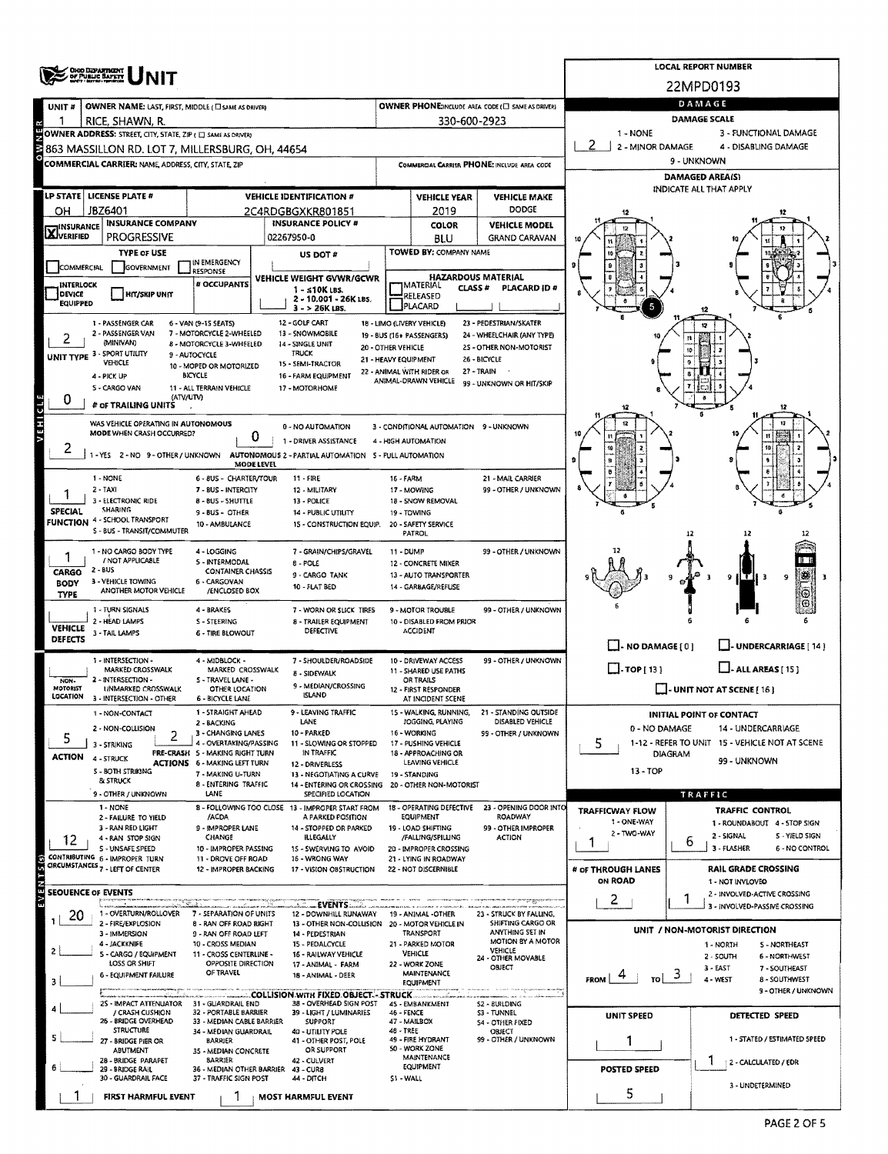|                                  |                                                             |                                                          | <b>LOCAL REPORT NUMBER</b>                                                               |                                             |                                                                     |                                                   |                                                   |                                                                      |  |  |  |  |
|----------------------------------|-------------------------------------------------------------|----------------------------------------------------------|------------------------------------------------------------------------------------------|---------------------------------------------|---------------------------------------------------------------------|---------------------------------------------------|---------------------------------------------------|----------------------------------------------------------------------|--|--|--|--|
|                                  | <b>CHOO DEPARTMENT</b><br>OF PUBLIC BAPETY                  |                                                          |                                                                                          |                                             |                                                                     |                                                   |                                                   | 22MPD0193                                                            |  |  |  |  |
|                                  | OWNER NAME: LAST, FIRST, MIDDLE (CI SAME AS DRIVER)         |                                                          |                                                                                          |                                             |                                                                     | OWNER PHONE:INCLUDE AREA CODE (E) SAME AS DRIVER) |                                                   | DAMAGE                                                               |  |  |  |  |
| UNIT #                           | RICE, SHAWN, R.                                             |                                                          |                                                                                          |                                             | 330-600-2923                                                        |                                                   |                                                   | DAMAGE SCALE                                                         |  |  |  |  |
|                                  | OWNER ADDRESS: STREET, CITY, STATE, ZIP ( E SAME AS DRIVER) |                                                          |                                                                                          |                                             |                                                                     |                                                   | 1 - NONE                                          | 3 - FUNCTIONAL DAMAGE                                                |  |  |  |  |
|                                  | 863 MASSILLON RD. LOT 7, MILLERSBURG, OH, 44654             |                                                          |                                                                                          |                                             |                                                                     |                                                   | 2<br>2 - MINOR DAMAGE<br>4 - DISABLING DAMAGE     |                                                                      |  |  |  |  |
|                                  | COMMERCIAL CARRIER: NAME, ADDRESS, CITY, STATE, ZIP         |                                                          |                                                                                          |                                             |                                                                     | COMMERCIAL CARRIER PHONE: INCLUDE AREA CODE       | 9 - UNKNOWN                                       |                                                                      |  |  |  |  |
|                                  |                                                             |                                                          |                                                                                          |                                             |                                                                     |                                                   | <b>DAMAGED AREA(S)</b><br>INDICATE ALL THAT APPLY |                                                                      |  |  |  |  |
|                                  | LP STATE LICENSE PLATE #                                    |                                                          | <b>VEHICLE IDENTIFICATION #</b>                                                          |                                             | <b>VEHICLE YEAR</b>                                                 | <b>VEHICLE MAKE</b>                               |                                                   |                                                                      |  |  |  |  |
| он                               | JBZ6401<br><b>INSURANCE COMPANY</b>                         |                                                          | 2C4RDGBGXKR801851<br><b>INSURANCE POLICY #</b>                                           |                                             | 2019                                                                | <b>DODGE</b><br><b>VEHICLE MODEL</b>              |                                                   |                                                                      |  |  |  |  |
| <b>X</b> INSURANCE               | <b>PROGRESSIVE</b>                                          |                                                          | 02267950-0                                                                               |                                             | <b>COLOR</b><br><b>BLU</b>                                          | <b>GRAND CARAVAN</b>                              |                                                   |                                                                      |  |  |  |  |
|                                  | <b>TYPE OF USE</b>                                          |                                                          | US DOT#                                                                                  |                                             | <b>TOWED BY: COMPANY NAME</b>                                       |                                                   |                                                   |                                                                      |  |  |  |  |
| COMMERCIAL                       | GOVERNMENT                                                  | IN EMERGENCY<br>RESPONSE                                 |                                                                                          |                                             |                                                                     |                                                   |                                                   |                                                                      |  |  |  |  |
| INTERLOCK                        |                                                             | # OCCUPANTS                                              | VEHICLE WEIGHT GVWR/GCWR<br>$1 - 510K$ LBS.                                              |                                             | <b>HAZARDOUS MATERIAL</b><br><b>IMATERIAL</b><br>CLASS <sup>#</sup> | PLACARD ID #                                      |                                                   |                                                                      |  |  |  |  |
| DEVICE<br><b>EQUIPPED</b>        | HIY/SKIP UNIT                                               |                                                          | 2 - 10.001 - 26K LBS.<br>$3 - 26K$ LBS.                                                  |                                             | RELEASED<br>PLACARD                                                 |                                                   |                                                   |                                                                      |  |  |  |  |
|                                  | 1 - PASSENGER CAR                                           | 6 - VAN (9-1S SEATS)                                     | 12 - GOLF CART                                                                           |                                             | 18 - LIMO (LIVERY VEHICLE)                                          | 23 - PEDESTRIAN/SKATER                            |                                                   | 12                                                                   |  |  |  |  |
|                                  | 2 - PASSENGER VAN<br>(MINIVAN)                              | 7 - MOTORCYCLE 2-WHEELED                                 | 13 - SNOWMOBILE                                                                          |                                             | 19 - BUS (16+ PASSENGERS)                                           | 24 - WHEELCHAIR (ANY TYPE)                        |                                                   |                                                                      |  |  |  |  |
|                                  | UNIT TYPE 3 - SPORT UTILITY                                 | 8 - MOTORCYCLE 3-WHEELED<br>9 - AUTOCYCLE                | 14 - SINGLE UNIT<br><b>TRUCK</b>                                                         | 20 - OTHER VEHICLE<br>21 - HEAVY EQUIPMENT  |                                                                     | 2S - OTHER NON-MOTORIST<br>26 - BICYCLE           |                                                   |                                                                      |  |  |  |  |
|                                  | <b>VEHICLE</b><br>4 - PICK UP                               | 10 - MOPED OR MOTORIZED<br><b>BICYCLE</b>                | 15 - SEMI-TRACTOR<br><b>16 - FARM EQUIPMENT</b>                                          |                                             | 22 - ANIMAL WITH RIDER OR                                           | 27 - TRAIN                                        |                                                   |                                                                      |  |  |  |  |
|                                  | 5 - CARGO VAN                                               | 11 - ALL TERRAIN VEHICLE                                 | 17 - MOTORHOME                                                                           |                                             | ANIMAL-DRAWN VEHICLE                                                | 99 - UNKNOWN OR HIT/SKIP                          |                                                   |                                                                      |  |  |  |  |
| 0                                | (ATV/UTV)<br># OF TRAILING UNITS                            |                                                          |                                                                                          |                                             |                                                                     |                                                   |                                                   | 12                                                                   |  |  |  |  |
| VEHICLE                          | WAS VEHICLE OPERATING IN AUTONOMOUS                         |                                                          | 0 - NO AUTOMATION                                                                        |                                             | 3 - CONDITIONAL AUTOMATION 9 - UNKNOWN                              |                                                   |                                                   |                                                                      |  |  |  |  |
|                                  | MODE WHEN CRASH OCCURRED?                                   | 0                                                        | 1 - DRIVER ASSISTANCE                                                                    |                                             | 4 - HIGH AUTOMATION                                                 |                                                   |                                                   |                                                                      |  |  |  |  |
| 2                                |                                                             |                                                          | 1 - YES 2 - NO 9 - OTHER / UNKNOWN AUTONOMOUS 2 - PARTIAL AUTOMATION 5 - FULL AUTOMATION |                                             |                                                                     |                                                   | 9                                                 |                                                                      |  |  |  |  |
|                                  |                                                             | MODE LEVEL                                               |                                                                                          |                                             |                                                                     |                                                   |                                                   |                                                                      |  |  |  |  |
|                                  | 1 - NONE<br>$2 - TAXI$                                      | 6 - 8US - CHARTER/TOUR<br>7 - 8US - INTERCITY            | $11 - FIRE$<br>12 - MILITARY                                                             | 16 - FARM                                   | 17 - MOWING                                                         | 21 - MAIL CARRIER<br>99 - OTHER / UNKNOWN         |                                                   |                                                                      |  |  |  |  |
|                                  | 3 - ELECTRONIC RIDE                                         | 8 - BUS - SHUTTLE                                        | 13 - POLICE                                                                              |                                             | 18 - SNOW REMOVAL                                                   |                                                   |                                                   |                                                                      |  |  |  |  |
| <b>SPECIAL</b>                   | SHARING<br><b>FUNCTION 4 - SCHOOL TRANSPORT</b>             | 9 - BUS - OTHER<br>10 - AMBULANCE                        | 14 - PUBLIC UTILITY<br>15 - CONSTRUCTION EQUIP.                                          |                                             | 19 - TOWING<br>20 - SAFETY SERVICE                                  |                                                   |                                                   |                                                                      |  |  |  |  |
|                                  | S - BUS - TRANSIT/COMMUTER                                  |                                                          |                                                                                          |                                             | PATROL                                                              |                                                   |                                                   | 12<br>12                                                             |  |  |  |  |
|                                  | 1 - NO CARGO BODY TYPE                                      | 4 - LOGGING                                              | 7 - GRAIN/CHIPS/GRAVEL                                                                   | 11 - DUMP                                   |                                                                     | 99 - OTHER / UNKNOWN                              |                                                   |                                                                      |  |  |  |  |
| CARGO                            | / NOT APPLICABLE<br>$2 - BUS$                               | 5 - INTERMODAL<br><b>CONTAINER CHASSIS</b>               | 8 - POLE<br>9 - CARGO TANK                                                               |                                             | 12 - CONCRETE MIXER<br>13 - AUTO TRANSPORTER                        |                                                   |                                                   |                                                                      |  |  |  |  |
| <b>BODY</b>                      | 3 - VEHICLE TOWING<br>ANOTHER MOTOR VEHICLE                 | 6 - CARGOVAN<br>/ENCLOSED BOX                            | 10 - FLAT BED                                                                            |                                             | 14 - GARBAGE/REFUSE                                                 |                                                   |                                                   | æ<br>9<br>9<br>иті                                                   |  |  |  |  |
| <b>TYPE</b>                      |                                                             |                                                          |                                                                                          |                                             |                                                                     |                                                   |                                                   | O                                                                    |  |  |  |  |
|                                  | 1 - TURN SIGNALS<br>2 HEAD LAMPS                            | 4 - BRAKES<br>S - STEERING                               | 7 - WORN OR SLICK TIRES<br>8 - TRAILER EQUIPMENT                                         |                                             | 9 - MOTOR TROUBLE<br>10 - DISABLED FROM PRIOR                       | 99 - OTHER / UNKNOWN                              |                                                   |                                                                      |  |  |  |  |
| <b>VEHICLE</b><br><b>DEFECTS</b> | 3 TAIL LAMPS                                                | <b>6 - TIRE BLOWOUT</b>                                  | DEFECTIVE                                                                                |                                             | ACCIDENT                                                            |                                                   |                                                   |                                                                      |  |  |  |  |
|                                  |                                                             |                                                          |                                                                                          |                                             |                                                                     |                                                   | $\Box$ - NO DAMAGE [ 0 ]                          | UNDERCARRIAGE [ 14 ]                                                 |  |  |  |  |
|                                  | 1 - INTERSECTION -<br><b>MARKED CROSSWALK</b>               | 4 - MIDBLOCK -<br>MARKED CROSSWALK                       | 7 - SHOULDER/ROADSIDE<br><b>8 - SIDEWALK</b>                                             |                                             | 10 - DRIVEWAY ACCESS<br>11 - SHARED USE PATHS                       | 99 - OTHER / UNKNOWN                              | $\Box$ TOP [ 13 ]                                 | $L$ - ALL AREAS [15]                                                 |  |  |  |  |
| NON-<br>MOTORIST                 | 2 - INTERSECTION -<br><b>UNMARKED CROSSWALK</b>             | S - TRAVEL LANE -<br>OTHER LOCATION                      | 9 - MEDIAN/CROSSING                                                                      | OR TRAILS<br>12 - FIRST RESPONDER           | $\Box$ - UNIT NOT AT SCENE [16]                                     |                                                   |                                                   |                                                                      |  |  |  |  |
| LOCATION                         | 3 - INTERSECTION - OTHER                                    | <b>6 - BICYCLE LANE</b>                                  | <b>ISLAND</b>                                                                            |                                             | AT INCIDENT SCENE                                                   |                                                   |                                                   |                                                                      |  |  |  |  |
|                                  | 1 - NON-CONTACT                                             | 1 - STRAIGHT AHEAD<br>2 - BACKING                        | 9 - LEAVING TRAFFIC<br>LANE                                                              |                                             | 15 - WALKING, RUNNING,<br>JOGGING, PLAYING                          | 21 - STANDING OUTSIDE<br>DISABLED VEHICLE         |                                                   | <b>INITIAL POINT OF CONTACT</b>                                      |  |  |  |  |
| 5                                | 2 - NON-COLLISION<br>2                                      | 3 - CHANGING LANES<br>4 - OVERTAKING/PASSING             | 10 - PARKED                                                                              |                                             | 16 - WORKING                                                        | 99 - OTHER / UNKNOWN                              | 0 - NO DAMAGE                                     | 14 - UNDERCARRIAGE<br>1-12 - REFER TO UNIT 15 - VEHICLE NOT AT SCENE |  |  |  |  |
| <b>ACTION</b>                    | 3 - STRIKING<br>4 - STRUCK                                  | PRE-CRASH 5 - MAKING RIGHT TURN                          | 11 - SLOWING OR STOPPED<br>IN TRAFFIC                                                    | 17 - PUSHING VEHICLE<br>18 - APPROACHING OR |                                                                     |                                                   | 5<br>DIAGRAM                                      |                                                                      |  |  |  |  |
|                                  | 5 - BOTH STRIKING                                           | <b>ACTIONS 6 - MAKING LEFT TURN</b><br>7 - MAKING U-TURN | 12 - DRIVERLESS<br>13 - NEGOTIATING A CURVE                                              |                                             | LEAVING VEHICLE<br>19 - STANDING                                    |                                                   | 99 - UNKNOWN<br>13 - TOP                          |                                                                      |  |  |  |  |
|                                  | <b>&amp; STRUCK</b>                                         | 8 - ENTERING TRAFFIC                                     | 14 - ENTERING OR CROSSING 20 - OTHER NON-MOTORIST                                        |                                             |                                                                     |                                                   |                                                   |                                                                      |  |  |  |  |
|                                  | 9 - OTHER / UNKNOWN<br>1 - NONE                             | LANE                                                     | SPECIFIED LOCATION<br>8 - FOLLOWING TOO CLOSE 13 - IMPROPER START FROM                   |                                             |                                                                     | 18 - OPERATING DEFECTIVE 23 - OPENING DOOR INTO   |                                                   | TRAFFIC<br><b>TRAFFIC CONTROL</b>                                    |  |  |  |  |
|                                  | 2 - FAILURE TO YIELD                                        | /ACDA                                                    | A PARKED POSITION<br>14 - STOPPED OR PARKED                                              |                                             | <b>EQUIPMENT</b>                                                    | ROADWAY                                           | <b>TRAFFICWAY FLOW</b><br>1 - ONE-WAY             | 1 - ROUNDABOUT 4 - STOP SIGN                                         |  |  |  |  |
| 12                               | 3 - RAN RED LIGHT<br>4 - RAN STOP SIGN                      | 9 - IMPROPER LANE<br>CHANGE                              | <b>ILLEGALLY</b>                                                                         |                                             | 19 - LOAD SHIFTING<br>/FALLING/SPILLING                             | 99 - OTHER IMPROPER<br><b>ACTION</b>              | 2 - TWO-WAY                                       | 2 - SIGNAL<br>5 - YIELD SIGN<br>ь                                    |  |  |  |  |
|                                  | S - UNSAFE SPEED<br>CONTRIBUTING 6 - IMPROPER TURN          | 10 - IMPROPER PASSING<br>11 - DROVE OFF ROAD             | 15 - SWERVING TO AVOID<br>16 - WRONG WAY                                                 |                                             | 20 - IMPROPER CROSSING<br>21 - LYING IN ROADWAY                     |                                                   |                                                   | 3 - FLASHER<br>6 - NO CONTROL                                        |  |  |  |  |
|                                  | CIRCUMSTANCES <sub>7</sub> - LEFT OF CENTER                 | 12 - IMPROPER BACKING                                    | 17 - VISION OBSTRUCTION                                                                  |                                             | 22 - NOT DISCERNIBLE                                                |                                                   | # of THROUGH LANES                                | <b>RAIL GRADE CROSSING</b>                                           |  |  |  |  |
| N<br><b>SEOUENCE OF EVENTS</b>   |                                                             |                                                          |                                                                                          |                                             |                                                                     |                                                   | <b>ON ROAD</b>                                    | 1 - NOT INVLOVED<br>2 - INVOLVED-ACTIVE CROSSING                     |  |  |  |  |
| ۸Ē                               |                                                             |                                                          | $\sim$ EVENTS $\sim$                                                                     |                                             |                                                                     |                                                   | $\mathbf{2}$                                      | 3 - INVOLVED-PASSIVE CROSSING                                        |  |  |  |  |
| 20                               | 1 - OVERTURN/ROLLOVER<br>2 - FIRE/EXPLOSION                 | 7 - SEPARATION OF UNITS<br>8 - RAN OFF ROAD RIGHT        | 12 - DOWNHILL RUNAWAY<br>13 - OTHER NON-COLLISION                                        |                                             | 19 - ANIMAL -OTHER<br>20 - MOTOR VEHICLE IN                         | 23 - STRUCK BY FALLING,<br>SHIFTING CARGO OR      |                                                   |                                                                      |  |  |  |  |
|                                  | 3 - IMMERSION<br>4 - JACKKNIFE                              | 9 - RAN OFF ROAD LEFT<br>10 - CROSS MEDIAN               | 14 - PEDESTRIAN<br>15 - PEDALCYCLE                                                       |                                             | TRANSPORT<br>21 - PARKED MOTOR                                      | ANYTHING SET IN<br><b>MOTION 8Y A MOTOR</b>       |                                                   | UNIT / NON-MOTORIST DIRECTION<br>1 - NORTH<br><b>S-NORTHEAST</b>     |  |  |  |  |
|                                  | 5 - CARGO / EQUIPMENT                                       | 11 - CROSS CENTERLINE -                                  | 16 - RAILWAY VEHICLE                                                                     |                                             | <b>VEHICLE</b>                                                      | VEHICLE<br>24 - OTHER MOVABLE                     |                                                   | 2 - SOUTH<br>6 - NORTHWEST                                           |  |  |  |  |
|                                  | LOSS OR SHIFT<br><b>6 - EQUIPMENT FAILURE</b>               | OPPOSITE DIRECTION<br>OF TRAVEL                          | 17 - ANIMAI - FARM<br>18 - ANIMAL - DEER                                                 |                                             | 22 - WORK ZONE<br><b>MAINTENANCE</b>                                | OBJECT                                            | 3                                                 | $3 - EAST$<br>7 - SOUTHEAST                                          |  |  |  |  |
|                                  |                                                             |                                                          |                                                                                          |                                             | <b>EQUIPMENT</b>                                                    |                                                   | <b>FROM</b><br>۲O                                 | 4 - WEST<br>8 - SOUTHWEST<br>9 - OTHER / UNKNOWN                     |  |  |  |  |
|                                  | 25 - IMPACT ATTENUATOR 31 - GUARDRAIL END                   |                                                          | COLLISION WITH FIXED OBJECT. - STRUCK<br>38 - OVERHEAD SIGN POST                         |                                             | 45 - EMBANKMENT                                                     | 52 - SUILDING                                     |                                                   |                                                                      |  |  |  |  |
|                                  | / CRASH CUSHION<br>26 - BRIDGE OVERHEAD                     | 32 - PORTABLE BARRIER<br>33 MEDIAN CABLE BARRIER         | 39 - LIGHT / LUMINARIES<br><b>SUPPORT</b>                                                | 46 - FENCE                                  | 47 - MAILBOX                                                        | S3 - TUNNEL<br>54 - OTHER FIXED                   | UNIT SPEED                                        | DETECTED SPEED                                                       |  |  |  |  |
|                                  | <b>STRUCTURE</b><br>27 BRIDGE PIER OR                       | 34 - MEDIAN GUARDRAIL<br><b>BARRIER</b>                  | 40 - UTILITY POLE<br>41 - OTHER POST, POLE                                               | 48 - TREE                                   | 49 - FIRE HYDRANT                                                   | OBJECT<br>99 - OTHER / UNKNOWN                    |                                                   | 1 - STATED / ESTIMATED SPEED                                         |  |  |  |  |
|                                  | <b>ABUTMENT</b><br>28 - BRIDGE PARAPET                      | 35 - MEDIAN CONCRETE<br><b>SARRIER</b>                   | OR SUPPORT<br>42 - CULVERT                                                               |                                             | <b>SO - WORK ZONE</b><br>MAINTENANCE                                |                                                   |                                                   |                                                                      |  |  |  |  |
|                                  | 29 - BRIDGE RAIL                                            | 36 - MEDIAN OTHER BARRIER 43 - CURB                      |                                                                                          |                                             | <b>EQUIPMENT</b>                                                    |                                                   | <b>POSTED SPEED</b>                               | Ŧ<br>2 - CALCULATED / EDR                                            |  |  |  |  |
|                                  | 30 - GUARDRAIL FACE                                         | 37 - TRAFFIC SIGN POST                                   | 44 - DITCH                                                                               | S1 - WALL                                   |                                                                     |                                                   | 5                                                 | 3 - UNDETERMINED                                                     |  |  |  |  |
|                                  | FIRST HARMFUL EVENT                                         |                                                          | <b>MOST HARMFUL EVENT</b>                                                                |                                             |                                                                     |                                                   |                                                   |                                                                      |  |  |  |  |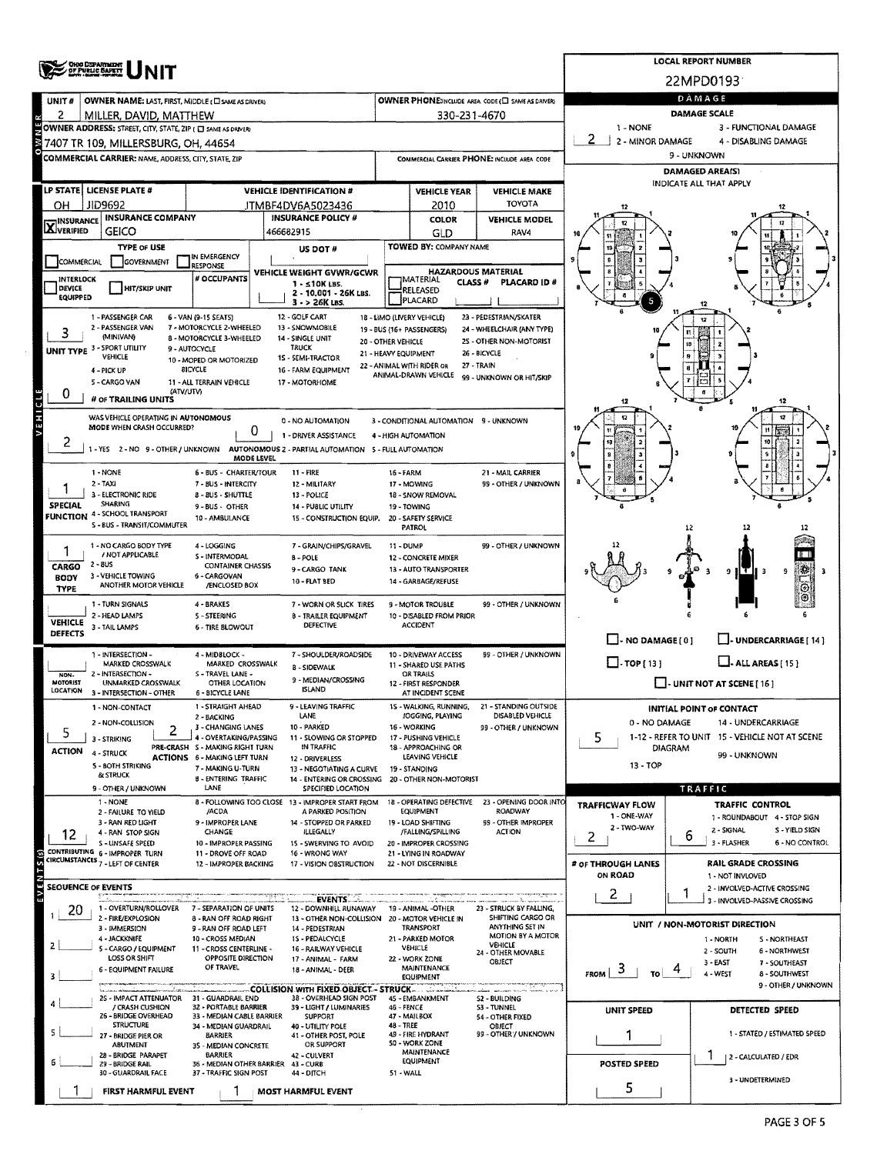|                                  | <b>OHIO DEPARTMENT</b><br>OF PUBLIC BAPETY                                               |                                                           |                                                                         | <b>LOCAL REPORT NUMBER</b>           |                                                      |                                                   |                                                                                    |                                                              |  |  |  |  |  |
|----------------------------------|------------------------------------------------------------------------------------------|-----------------------------------------------------------|-------------------------------------------------------------------------|--------------------------------------|------------------------------------------------------|---------------------------------------------------|------------------------------------------------------------------------------------|--------------------------------------------------------------|--|--|--|--|--|
|                                  |                                                                                          |                                                           |                                                                         |                                      |                                                      |                                                   |                                                                                    | 22MPD0193                                                    |  |  |  |  |  |
| UNIT#                            | OWNER NAME: LAST, FIRST, MIDDLE (C) SAME AS DRIVER)                                      |                                                           |                                                                         |                                      |                                                      | OWNER PHONE:INCLUDE AREA CODE (C) SAME AS DRIVER) |                                                                                    | DAMAGE<br><b>DAMAGE SCALE</b>                                |  |  |  |  |  |
| 2                                | MILLER, DAVID, MATTHEW<br>OWNER ADDRESS: STREET, CITY, STATE, ZIP ( C) SAME AS DRIVER)   |                                                           |                                                                         |                                      | 330-231-4670                                         |                                                   | 1 - NONE                                                                           | 3 - FUNCTIONAL DAMAGE                                        |  |  |  |  |  |
|                                  | 7407 TR 109, MILLERSBURG, OH, 44654                                                      |                                                           |                                                                         |                                      |                                                      |                                                   | 2<br>2 - MINOR DAMAGE                                                              | 4 - DISABLING DAMAGE                                         |  |  |  |  |  |
|                                  | <b>COMMERCIAL CARRIER: NAME, ADDRESS, CITY, STATE, 2IP</b>                               |                                                           |                                                                         |                                      |                                                      | COMMERCIAL CARRIER PHONE: INCLUDE AREA CODE       |                                                                                    | 9 - UNKNOWN                                                  |  |  |  |  |  |
|                                  |                                                                                          |                                                           |                                                                         |                                      |                                                      |                                                   |                                                                                    | <b>DAMAGED AREA(S)</b><br>INDICATE ALL THAT APPLY            |  |  |  |  |  |
|                                  | LP STATE   LICENSE PLATE #<br>JID9692                                                    |                                                           | <b>VEHICLE IDENTIFICATION #</b>                                         |                                      | <b>VEHICLE YEAR</b>                                  | <b>VEHICLE MAKE</b><br><b>TOYOTA</b>              |                                                                                    |                                                              |  |  |  |  |  |
| он                               | <b>INSURANCE COMPANY</b>                                                                 |                                                           | JTMBF4DV6A5023436<br><b>INSURANCE POLICY #</b>                          |                                      | 2010<br>COLOR                                        | <b>VEHICLE MODEL</b>                              |                                                                                    |                                                              |  |  |  |  |  |
| <b>X</b> INSURANCE               | <b>GEICO</b>                                                                             |                                                           | 466682915                                                               |                                      | GLD                                                  | RAV4                                              |                                                                                    |                                                              |  |  |  |  |  |
| COMMERCIAL                       | <b>TYPE OF USE</b><br><b>GOVERNMENT</b>                                                  | IN EMERGENCY                                              | US DOT#                                                                 |                                      | <b>TOWED BY: COMPANY NAME</b>                        |                                                   |                                                                                    |                                                              |  |  |  |  |  |
| INTERLOCK                        |                                                                                          | <b>RESPONSE</b><br># OCCUPANTS                            | VEHICLE WEIGHT GVWR/GCWR                                                |                                      | MATERIAL                                             | <b>HAZARDOUS MATERIAL</b>                         |                                                                                    |                                                              |  |  |  |  |  |
| <b>DEVICE</b><br><b>EQUIPPED</b> | <b>HIT/SKIP UNIT</b>                                                                     |                                                           | $1 - 510K$ LBS.<br>2 - 10.001 - 26K LBS.                                |                                      | CLASS <sup>#</sup><br>RELEASED<br>PLACARD            | PLACARD ID #                                      |                                                                                    |                                                              |  |  |  |  |  |
|                                  | 1 - PASSENGER CAR                                                                        | 6 - VAN (9-15 SEATS)                                      | $3 - 26K$ LBS.<br>12 - GOLF CART                                        |                                      | 18 - LIMO (LIVERY VEHICLE)                           | 23 - PEDESTRIAN/SKATER                            |                                                                                    |                                                              |  |  |  |  |  |
| 3                                | 2 - PASSENGER VAN<br>(MINIVAN)                                                           | 7 - MOTORCYCLE 2-WHEELED<br>8 - MOTORCYCLE 3-WHEELED      | 13 - SNOWMOBILE<br>14 - SINGLE UNIT                                     |                                      | 19 - BUS (16+ PASSENGERS)                            | 24 - WHEELCHAIR (ANY TYPE)                        | 10                                                                                 |                                                              |  |  |  |  |  |
|                                  | UNIT TYPE 3 - SPORT UTILITY<br>VEHICLE                                                   | 9 - AUTOCYCLE                                             | 20 - OTHER VEHICLE<br><b>TRUCK</b><br>21 - HEAVY EQUIPMENT              |                                      |                                                      | 25 - OTHER NON-MOTORIST<br>26 - BICYCLE           |                                                                                    |                                                              |  |  |  |  |  |
|                                  | 4 - PICK UP                                                                              | 10 - MOPED OR MOTORIZED<br><b>BICYCLE</b>                 | 15 - SEMI-TRACTOR<br>16 - FARM EQUIPMENT                                |                                      | 22 - ANIMAL WITH RIDER OR<br>ANIMAL-DRAWN VEHICLE    | 27 - TRAIN                                        |                                                                                    |                                                              |  |  |  |  |  |
| 0                                | 5 - CARGO VAN<br>(ATV/UTV)                                                               | 11 - ALL TERRAIN VEHICLE                                  | 17 - MOTORHOME                                                          |                                      |                                                      | 99 - UNKNOWN OR HIT/SKIP                          |                                                                                    |                                                              |  |  |  |  |  |
| VEHICLE                          | # OF TRAILING UNITS                                                                      |                                                           |                                                                         |                                      |                                                      |                                                   |                                                                                    | 12                                                           |  |  |  |  |  |
|                                  | WAS VEHICLE OPERATING IN AUTONOMOUS<br>MODE WHEN CRASH OCCURRED?                         | 0                                                         | 0 - NO AUTOMATION                                                       |                                      | 3 - CONDITIONAL AUTOMATION 9 - UNKNOWN               |                                                   |                                                                                    | 12                                                           |  |  |  |  |  |
| 2                                | 1 - YES 2 - NO 9 - OTHER / UNKNOWN AUTONOMOUS 2 - PARTIAL AUTOMATION 5 - FULL AUTOMATION |                                                           | 1 - DRIVER ASSISTANCE                                                   |                                      | 4 - HIGH AUTOMATION                                  |                                                   |                                                                                    |                                                              |  |  |  |  |  |
|                                  |                                                                                          | MODE LEVEL                                                |                                                                         |                                      |                                                      |                                                   |                                                                                    |                                                              |  |  |  |  |  |
|                                  | 1 - NONE<br>$2 - TAXI$                                                                   | 6 - BUS - CHARTER/TOUR<br>7 - BUS - INTERCITY             | <b>11 - FIRE</b><br>12 - MILITARY                                       | 16 - FARM                            | 17 - MOWING                                          | 21 - MAIL CARRIER<br>99 - OTHER / UNKNOWN         |                                                                                    |                                                              |  |  |  |  |  |
| <b>SPECIAL</b>                   | 3 - ELECTRONIC RIDE<br>SHARING                                                           | 8 - BUS - SHUTTLE<br>$9 - BUS - OTHER$                    | 13 - POLICE<br>14 - PUBLIC UTILITY                                      |                                      | 18 - SNOW REMOVAL<br>19 - TOWING                     |                                                   |                                                                                    |                                                              |  |  |  |  |  |
|                                  | <b>FUNCTION 4 - SCHOOL TRANSPORT</b><br>S - BUS - TRANSIT/COMMUTER                       | 10 - AMBULANCE                                            | 15 - CONSTRUCTION EQUIP.                                                |                                      | 20 - SAFETY SERVICE                                  |                                                   |                                                                                    |                                                              |  |  |  |  |  |
|                                  |                                                                                          |                                                           |                                                                         |                                      | PATROL                                               |                                                   |                                                                                    | 12                                                           |  |  |  |  |  |
|                                  | 1 - NO CARGO BODY TYPE<br>/ NOT APPLICABLE                                               | 4 - LOGGING<br>S - INTERMODAL                             | 7 - GRAIN/CHIPS/GRAVEL<br><b>B-POLE</b>                                 | 11 - DUMP                            | 12 - CONCRETE MIXER                                  | 99 - OTHER / UNKNOWN                              |                                                                                    |                                                              |  |  |  |  |  |
| CARGO<br><b>BODY</b>             | $2 - 8US$<br>3 - VEHICLE TOWING                                                          | <b>CONTAINER CHASSIS</b><br>6 - CARGOVAN                  | 9 - CARGO TANK<br>10 - FLAT BED                                         |                                      | 13 - AUTO TRANSPORTER<br>14 - GARBAGE/REFUSE         |                                                   |                                                                                    | 9<br>ΙŦΙ<br>9                                                |  |  |  |  |  |
| <b>TYPE</b>                      | ANOTHER MOTOR VEHICLE                                                                    | /ENCLOSED BOX                                             |                                                                         |                                      |                                                      |                                                   |                                                                                    | ⊛                                                            |  |  |  |  |  |
|                                  | 1 - TURN SIGNALS<br>2 - HEAD LAMPS                                                       | 4 - BRAKES<br>5 - STEERING                                | 7 - WORN OR SLICK TIRES<br>8 - TRAILER EQUIPMENT                        |                                      | <b>9 - MOTOR TROUBLE</b><br>10 - DISABLED FROM PRIOR | 99 - OTHER / UNKNOWN                              |                                                                                    |                                                              |  |  |  |  |  |
| <b>VEHICLE</b><br><b>DEFECTS</b> | 3 - TAIL LAMPS                                                                           | <b>6 - TIRE BLOWOUT</b>                                   | <b>DEFECTIVE</b>                                                        |                                      | <b>ACCIDENT</b>                                      |                                                   | $\Box$ - NO DAMAGE [ 0 ]                                                           | LUNDERCARRIAGE [14]                                          |  |  |  |  |  |
|                                  | 1 - INTERSECTION -                                                                       | 4 - MIDBLOCK -                                            | 7 - SHOULDER/ROADSIDE                                                   |                                      | 10 - DRIVEWAY ACCESS                                 | 99 - OTHER / UNKNOWN                              |                                                                                    |                                                              |  |  |  |  |  |
| NON-                             | MARKED CROSSWALK<br>2 - INTERSECTION -                                                   | MARKED CROSSWALK<br>S - TRAVEL LANE -                     | <b>8 - SIDEWALK</b>                                                     | 11 - SHARED USE PATHS<br>OR TRAILS   |                                                      |                                                   | $\Box$ -TOP [13]<br>L. ALL AREAS [ 15 ]                                            |                                                              |  |  |  |  |  |
| MOTORIST<br>LOCATION             | UNMARKED CROSSWALK<br>3 - INTERSECTION - OTHER                                           | OTHER LOCATION<br>6 - BICYCLE LANE                        | 9 - MEDIAN/CROSSING<br><b>ISLAND</b>                                    |                                      | 12 - FIRST RESPONDER<br>AT INCIDENT SCENE            |                                                   | - UNIT NOT AT SCENE [ 16 ]                                                         |                                                              |  |  |  |  |  |
|                                  | 1 - NON-CONTACT                                                                          | 1 - STRAIGHT AHEAD                                        | <b>LEAVING TRAFFIC</b><br>LANE                                          |                                      | - WALKING, RUNNING,<br>JOGGING, PLAYING              | 21 - STANDING OUTSIDE<br>DISABLED VEHICLE         |                                                                                    | INITIAL POINT OF CONTACT                                     |  |  |  |  |  |
| 5                                | 2 - NON-COLLISION<br>2                                                                   | 2 - BACKING<br>3 - CHANGING LANES                         | 10 - PARKED                                                             | 16 - WORKING<br>99 - OTHER / UNKNOWN |                                                      |                                                   | 0 - NO DAMAGE<br>14 - UNDERCARRIAGE                                                |                                                              |  |  |  |  |  |
| <b>ACTION</b>                    | 3 - STRIKING<br>4 - STRUCK                                                               | 4 - OVERTAKING/PASSING<br>PRE-CRASH S - MAKING RIGHT TURN | 11 - SLOWING OR STOPPED<br>IN TRAFFIC                                   |                                      | 17 - PUSHING VEHICLE<br>18 - APPROACHING OR          |                                                   | 5<br><b>DIAGRAM</b>                                                                | 1-12 - REFER TO UNIT 15 - VEHICLE NOT AT SCENE               |  |  |  |  |  |
|                                  | 5 - BOTH STRIKING                                                                        | ACTIONS 6 - MAKING LEFT TURN<br>7 - MAKING U-TURN         | 12 - DRIVERLESS<br>13 - NEGOTIATING A CURVE                             |                                      | LEAVING VEHICLE<br>19 - STANDING                     |                                                   | 13 - TOP                                                                           | 99 - UNKNOWN                                                 |  |  |  |  |  |
|                                  | <b>&amp; STRUCK</b><br>9 - OTHER / UNKNOWN                                               | <b>B - ENTERING TRAFFIC</b><br>LANE                       | 14 - ENTERING OR CROSSING 20 - OTHER NON-MOTORIST<br>SPECIFIED LOCATION |                                      |                                                      |                                                   |                                                                                    | TRAFFIC                                                      |  |  |  |  |  |
|                                  | 1 - NONE<br>2 - FAILURE TO YIELD                                                         | /ACDA                                                     | 8 - FOLLOWING TOO CLOSE 13 - IMPROPER START FROM<br>A PARKED POSITION   |                                      | 18 - OPERATING DEFECTIVE<br><b>EQUIPMENT</b>         | 23 - OPENING DOOR INTO<br>ROADWAY                 | <b>TRAFFICWAY FLOW</b>                                                             | TRAFFIC CONTROL                                              |  |  |  |  |  |
|                                  | 3 - RAN RED LIGHT                                                                        | 9 - IMPROPER LANE                                         | 14 - STOPPED OR PARKED                                                  |                                      | 19 - LOAD SHIFTING                                   | 99 - OTHER IMPROPER                               | 1 - ONE-WAY<br>2 - TWO-WAY                                                         | 1 - ROUNDABOUT 4 - STOP SIGN<br>2 - SIGNAL<br>S - YIELD SIGN |  |  |  |  |  |
| 12                               | 4 - RAN STOP SIGN<br><b>S-UNSAFE SPEED</b>                                               | CHANGE<br>10 - IMPROPER PASSING                           | ILLEGALLY<br>15 - SWERVING TO AVOID                                     |                                      | /FALLING/SPILLING<br>20 - IMPROPER CROSSING          | <b>ACTION</b>                                     | 2                                                                                  | ь<br>3 - FLASHER<br>6 - NO CONTROL                           |  |  |  |  |  |
| S(s)                             | CONTRIBUTING 6 - IMPROPER TURN<br>CIRCUMSTANCES 7 - LEFT OF CENTER                       | 11 - DROVE OFF ROAD<br>12 - IMPROPER BACKING              | 16 - WRONG WAY<br>17 - VISION OBSTRUCTION                               |                                      | 21 - LYING IN ROADWAY<br>22 - NOT DISCERNIBLE        |                                                   | # OF THROUGH LANES                                                                 | <b>RAIL GRADE CROSSING</b>                                   |  |  |  |  |  |
|                                  | <b>SEOUENCE OF EVENTS</b>                                                                |                                                           |                                                                         |                                      |                                                      |                                                   | ON ROAD                                                                            | 1 - NOT INVLOVED<br>2 - INVOLVED-ACTIVE CROSSING             |  |  |  |  |  |
| EVEN                             |                                                                                          |                                                           | <b>EVENTS</b>                                                           |                                      | <b><i><u>A-AzAB-DARA</u></i></b>                     |                                                   | 2                                                                                  | 3 - INVOLVED-PASSIVE CROSSING                                |  |  |  |  |  |
| 20                               | 1 - OVERTURN/ROLLOVER<br>2 - FIRE/EXPLOSION                                              | 7 - SEPARATION OF UNITS<br>8 - RAN OFF ROAD RIGHT         | 12 - DOWNHILL RUNAWAY<br>13 - OTHER NON-COLLISION 20 - MOTOR VEHICLE IN |                                      | 19 - ANIMAL -OTHER                                   | 23 - STRUCK BY FALLING,<br>SHIFTING CARGO OR      |                                                                                    | UNIT / NON-MOTORIST DIRECTION                                |  |  |  |  |  |
|                                  | 3 - IMMERSION<br>4 - JACKKNIFE                                                           | <b>9 - RAN OFF ROAD LEFT</b><br>10 - CROSS MEDIAN         | 14 - PEDESTRIAN<br>15 - PEDALCYCLE                                      |                                      | <b>TRANSPORT</b><br>21 - PARKED MOTOR                | ANYTHING SET IN<br>MOTION BY A MOTOR              |                                                                                    | <b>S-NORTHEAST</b><br>1 - NORTH                              |  |  |  |  |  |
|                                  | 5 - CARGO / EQUIPMENT<br>LOSS OR SHIFT                                                   | 11 - CROSS CENTERLINE -<br>OPPOSITE DIRECTION             | 16 - RAILWAY VEHICLE<br>17 - ANIMAL - FARM                              |                                      | VEHICLE<br>22 - WORK ZONE                            | <b>VEHICLE</b><br>24 - OTHER MOVABLE<br>OBJECT    |                                                                                    | 2 - SOUTH<br><b>6 - NORTHWEST</b>                            |  |  |  |  |  |
|                                  | 6 - EQUIPMENT FAILURE                                                                    | OF TRAVEL                                                 | 18 - ANIMAL - DEER                                                      |                                      | MAINTENANCE<br><b>EQUIPMENT</b>                      |                                                   | 3 - EAST<br>7 - SOUTHEAST<br>$F_{\text{ROM}}$ 3<br>4 - WEST<br>TO<br>8 - SOUTHWEST |                                                              |  |  |  |  |  |
|                                  | and more in the cases.<br>25 - IMPACT ATTENUATOR 31 - GUARDRAIL END                      |                                                           | <b>COLLISION WITH FIXED OBJECT - STRUCK-</b><br>38 - OVERHEAD SIGN POST |                                      | 45 - EMBANKMENT                                      | <b>S2 - BUILDING</b>                              |                                                                                    | 9 - OTHER / UNKNOWN                                          |  |  |  |  |  |
|                                  | / CRASH CUSHION<br>26 - BRIDGE OVERHEAD                                                  | 32 - PORTABLE BARRIER<br>33 - MEDIAN CABLE BARRIER        | 39 - LIGHT / LUMINARIES<br><b>SUPPORT</b>                               | 46 - FENCE                           | 47 - MAILBOX                                         | <b>S3 - TUNNEL</b><br>54 - OTHER FIXED            | UNIT SPEED                                                                         | DETECTED SPEED                                               |  |  |  |  |  |
|                                  | <b>STRUCTURE</b><br>27 - BRIDGE PIER OR                                                  | 34 - MEDIAN GUARDRAIL<br><b>BARRIER</b>                   | 40 - UTILITY POLE<br>41 - OTHER POST, POLE                              | 48 - TREE                            | 49 - FIRE HYDRANT                                    | OBJECT<br>99 - OTHER / UNKNOWN                    |                                                                                    | 1 - STATED / ESTIMATED SPEED                                 |  |  |  |  |  |
|                                  | <b>ABUTMENT</b><br>28 - BRIDGE PARAPET                                                   | 35 - MEDIAN CONCRETE<br><b>BARRIER</b>                    | OR SUPPORT<br>42 - CULVERT                                              |                                      | 50 - WORK ZONE<br>MAINTENANCE                        |                                                   |                                                                                    |                                                              |  |  |  |  |  |
|                                  | 29 - BRIDGE RAIL<br>30 - GUARDRAIL FACE                                                  | 36 - MEDIAN OTHER BARRIER<br>37 - TRAFFIC SIGN POST       | 43 - CURB<br>44 - DITCH                                                 | 51 - WALL                            | EQUIPMENT                                            |                                                   | POSTED SPEED                                                                       | 2 - CALCULATED / EDR                                         |  |  |  |  |  |
|                                  | <b>FIRST HARMFUL EVENT</b>                                                               |                                                           | MOST HARMFUL EVENT                                                      |                                      |                                                      |                                                   | 5                                                                                  | 3 - UNDETERMINED                                             |  |  |  |  |  |
|                                  |                                                                                          |                                                           |                                                                         |                                      |                                                      |                                                   |                                                                                    |                                                              |  |  |  |  |  |

 $\sim$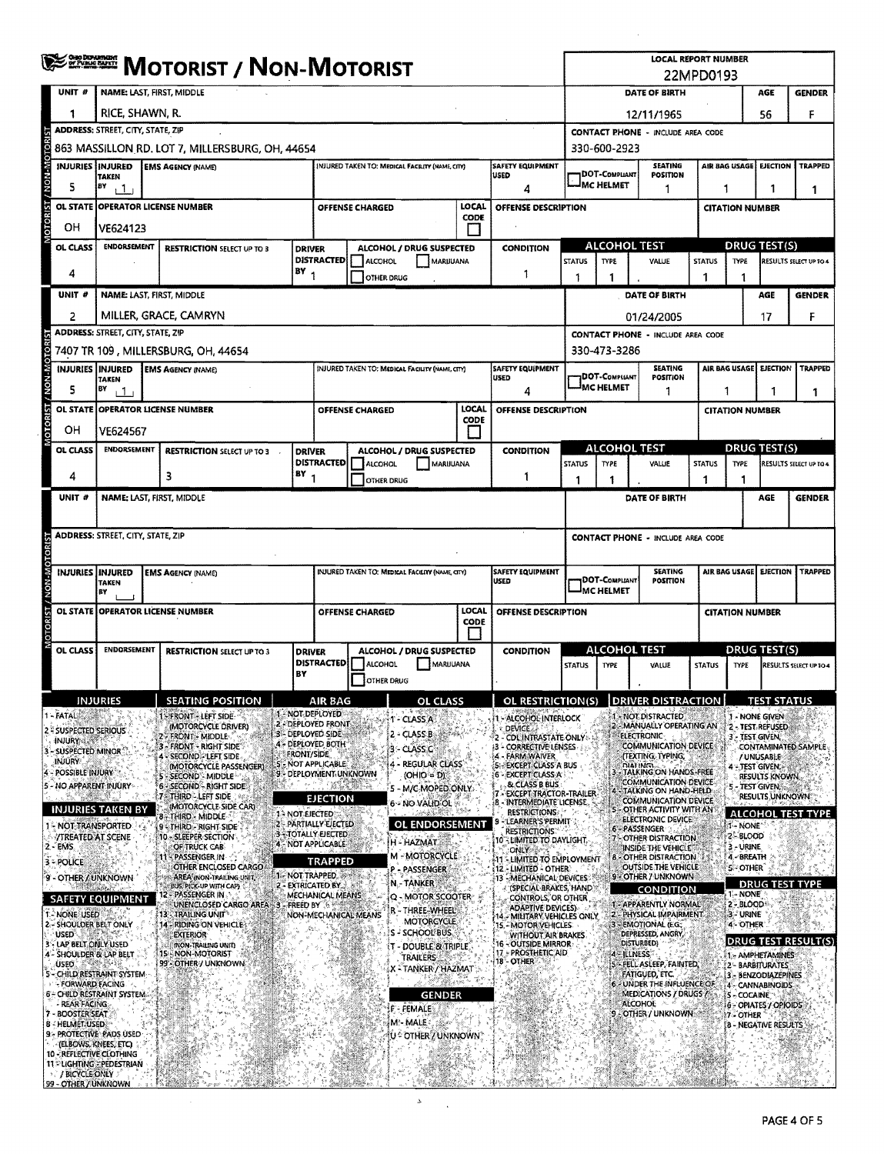|                |                                             | <b>≸222000 MOTORIST / NON-MOTORIST</b>                                   |                                                                        |                   |                                                                                    |                        |                                                 |               |                                                                           |                                                                                                                                       | LOCAL REPORT NUMBER<br>22MPD0193           |                                                                   |               |                                                             |                                    |                               |  |  |
|----------------|---------------------------------------------|--------------------------------------------------------------------------|------------------------------------------------------------------------|-------------------|------------------------------------------------------------------------------------|------------------------|-------------------------------------------------|---------------|---------------------------------------------------------------------------|---------------------------------------------------------------------------------------------------------------------------------------|--------------------------------------------|-------------------------------------------------------------------|---------------|-------------------------------------------------------------|------------------------------------|-------------------------------|--|--|
|                | UNIT #                                      | NAME: LAST, FIRST, MIDDLE                                                |                                                                        |                   |                                                                                    |                        |                                                 |               |                                                                           |                                                                                                                                       | DATE OF BIRTH<br>AGE<br><b>GENDER</b>      |                                                                   |               |                                                             |                                    |                               |  |  |
|                | 1                                           | RICE, SHAWN, R.                                                          |                                                                        |                   |                                                                                    |                        |                                                 |               |                                                                           |                                                                                                                                       |                                            | 12/11/1965                                                        |               |                                                             | 56                                 | F                             |  |  |
|                |                                             | <b>ADDRESS: STREET, CITY, STATE, ZIP</b>                                 |                                                                        |                   |                                                                                    |                        |                                                 |               |                                                                           | <b>CONTACT PHONE - INCLUDE AREA CODE</b>                                                                                              |                                            |                                                                   |               |                                                             |                                    |                               |  |  |
| NON-MOTORI     |                                             |                                                                          | 863 MASSILLON RD. LOT 7, MILLERSBURG, OH, 44654                        |                   |                                                                                    |                        |                                                 |               |                                                                           | 330-600-2923<br>AIR BAG USAGE                                                                                                         |                                            |                                                                   |               |                                                             |                                    |                               |  |  |
|                | <b>INJURIES INJURED</b>                     | <b>TAKEN</b>                                                             | <b>EMS AGENCY (NAME)</b>                                               |                   |                                                                                    |                        | INJURED TAKEN TO: MEDICAL FACILITY (NAME, CITY) |               | <b>SAFETY EQUIPMENT</b><br>USED                                           |                                                                                                                                       | DOT-COMPLIANT<br><b>IMC HELMET</b>         | <b>SEATING</b><br><b>POSITION</b>                                 |               |                                                             | <b>EJECTION</b>                    | <b>TRAPPED</b>                |  |  |
|                | 5                                           | BY<br>$\mathbf{1}$                                                       |                                                                        |                   |                                                                                    |                        |                                                 |               | 4                                                                         |                                                                                                                                       |                                            | 1                                                                 |               | 1                                                           | 1                                  | 1                             |  |  |
| <b>OTORIST</b> | OL STATE                                    |                                                                          | <b>OPERATOR LICENSE NUMBER</b>                                         |                   |                                                                                    | OFFENSE CHARGED        |                                                 | LOCAL<br>CODE | OFFENSE DESCRIPTION                                                       |                                                                                                                                       |                                            |                                                                   |               |                                                             | <b>CITATION NUMBER</b>             |                               |  |  |
|                | OН                                          | VE624123                                                                 |                                                                        |                   |                                                                                    |                        |                                                 |               |                                                                           | <b>ALCOHOL TEST</b>                                                                                                                   |                                            |                                                                   |               | <b>DRUG TEST(S)</b>                                         |                                    |                               |  |  |
|                | OL CLASS                                    | <b>ENDORSEMENT</b><br><b>RESTRICTION SELECT UP TO 3</b><br><b>DRIVER</b> |                                                                        |                   | ALCOHOL / DRUG SUSPECTED<br><b>CONDITION</b><br>DISTRACTED<br>ALCOHOL<br>MARIJUANA |                        |                                                 | <b>STATUS</b> | <b>TYPE</b>                                                               | VALUE                                                                                                                                 | <b>STATUS</b>                              | <b>TYPE</b>                                                       |               | RESULTS SELECT UP TO 4                                      |                                    |                               |  |  |
|                | 4                                           | BY <sub>1</sub>                                                          |                                                                        |                   |                                                                                    |                        | <b>OTHER DRUG</b>                               |               | 1                                                                         |                                                                                                                                       | 1                                          |                                                                   | 1             | 1                                                           |                                    |                               |  |  |
|                | UNIT #                                      |                                                                          | NAME LAST, FIRST, MIDDLE                                               |                   |                                                                                    |                        |                                                 |               |                                                                           | <b>DATE OF BIRTH</b>                                                                                                                  |                                            |                                                                   |               |                                                             | AGE                                | <b>GENDER</b>                 |  |  |
|                | 2                                           |                                                                          | MILLER, GRACE, CAMRYN                                                  |                   |                                                                                    |                        |                                                 |               |                                                                           |                                                                                                                                       |                                            | 01/24/2005                                                        |               |                                                             | 17                                 | F                             |  |  |
|                |                                             | ADDRESS: STREET, CITY, STATE, ZIP                                        | 7407 TR 109, MILLERSBURG, OH, 44654                                    |                   |                                                                                    |                        |                                                 |               |                                                                           |                                                                                                                                       | 330-473-3286                               | <b>CONTACT PHONE - INCLUDE AREA CODE</b>                          |               |                                                             |                                    |                               |  |  |
|                | <b>INJURIES   INJURED</b>                   |                                                                          | <b>EMS AGENCY (NAME)</b>                                               |                   |                                                                                    |                        | INJURED TAKEN TO: MEDICAL FACILITY (NAME, CITY) |               | <b>SAFETY EQUIPMENT</b>                                                   |                                                                                                                                       |                                            | <b>SEATING</b>                                                    |               |                                                             | AIR BAG USAGE EJECTION             | <b>TRAPPED</b>                |  |  |
| NON-MOTORIST   | 5                                           | <b>TAKEN</b><br>B¥<br>ا 1 ا                                              |                                                                        |                   |                                                                                    |                        |                                                 |               | USED<br>4                                                                 |                                                                                                                                       | <b>JDOT-COMPLIANT</b><br><b>IMC HELMET</b> | POSITION<br>1                                                     |               | 1                                                           |                                    |                               |  |  |
|                |                                             |                                                                          | OL STATE OPPERATOR LICENSE NUMBER                                      |                   |                                                                                    | OFFENSE CHARGED        |                                                 | LOCAL         | OFFENSE DESCRIPTION                                                       |                                                                                                                                       |                                            |                                                                   |               | 1<br><b>CITATION NUMBER</b>                                 |                                    |                               |  |  |
| CRIST          | он                                          | VE624567                                                                 |                                                                        |                   |                                                                                    |                        |                                                 | <b>CODE</b>   |                                                                           |                                                                                                                                       |                                            |                                                                   |               |                                                             |                                    |                               |  |  |
|                | OL CLASS                                    | <b>ENDORSEMENT</b>                                                       | <b>RESTRICTION SELECT UP TO 3</b>                                      | <b>DRIVER</b>     |                                                                                    |                        | ALCOHOL / DRUG SUSPECTED                        |               | <b>CONDITION</b>                                                          |                                                                                                                                       |                                            | <b>ALCOHOL TEST</b>                                               |               | <b>DRUG TEST(S)</b>                                         |                                    |                               |  |  |
|                |                                             |                                                                          |                                                                        | BY                | <b>DISTRACTED</b>                                                                  | ALCOHOL                | MARIJUANA                                       |               |                                                                           | <b>STATUS</b>                                                                                                                         | TYPE                                       | VALUE                                                             | <b>STATUS</b> | <b>TYPE</b>                                                 |                                    | RESULTS SELECT UP TO 4        |  |  |
|                | 4                                           |                                                                          | 3                                                                      |                   |                                                                                    |                        | OTHER DRUG                                      |               | 1                                                                         | 1                                                                                                                                     | 1                                          |                                                                   | 1             |                                                             |                                    |                               |  |  |
|                | UNIT #                                      |                                                                          | NAME: LAST, FIRST, MIDDLE                                              |                   |                                                                                    |                        |                                                 |               |                                                                           |                                                                                                                                       |                                            | DATE OF BIRTH                                                     |               |                                                             | AGE                                | <b>GENDER</b>                 |  |  |
|                |                                             | <b>ADDRESS: STREET, CITY, STATE, ZIP</b>                                 |                                                                        |                   |                                                                                    |                        |                                                 |               |                                                                           |                                                                                                                                       |                                            | <b>CONTACT PHONE - INCLUDE AREA CODE</b>                          |               |                                                             |                                    |                               |  |  |
|                |                                             |                                                                          |                                                                        |                   |                                                                                    |                        |                                                 |               |                                                                           |                                                                                                                                       |                                            |                                                                   |               |                                                             |                                    |                               |  |  |
|                | INJURIES INJURED                            | <b>TAKEN</b><br>BY                                                       | <b>EMS AGENCY (NAME)</b>                                               |                   |                                                                                    |                        | INJURED TAKEN TO: MEDICAL FACILITY (NAME, CITY) |               | SAFETY EQUIPMENT<br><b>USED</b>                                           |                                                                                                                                       | <b>DOT-COMPLIANT</b><br><b>MC HELMET</b>   | <b>SEATING</b><br><b>POSITION</b>                                 |               | AIR BAG USAGE                                               | <b>EJECTION</b>                    | <b>TRAPPED</b>                |  |  |
|                |                                             |                                                                          | OL STATE OPERATOR LICENSE NUMBER                                       |                   |                                                                                    | <b>OFFENSE CHARGED</b> |                                                 | LOCAL         | <b>OFFENSE DESCRIPTION</b>                                                |                                                                                                                                       | <b>CITATION NUMBER</b>                     |                                                                   |               |                                                             |                                    |                               |  |  |
|                |                                             |                                                                          |                                                                        |                   |                                                                                    |                        |                                                 | <b>CODE</b>   |                                                                           |                                                                                                                                       |                                            |                                                                   |               |                                                             |                                    |                               |  |  |
|                | OL CLASS                                    | <b>ENDORSEMENT</b>                                                       | <b>RESTRICTION SELECT UP TO 3</b>                                      | <b>DRIVER</b>     | <b>DISTRACTED</b>                                                                  | ALCOHOL                | ALCOHOL / DRUG SUSPECTED<br>MARUUANA            |               | <b>CONDITION</b>                                                          | <b>STATUS</b>                                                                                                                         | <b>TYPE</b>                                | <b>ALCOHOL TEST</b><br>VALUE                                      | <b>STATUS</b> | <b>TYPE</b>                                                 | <b>DRUG TEST(S)</b>                | <b>RESULTS SELECT UP TO 4</b> |  |  |
|                |                                             |                                                                          |                                                                        | BY                |                                                                                    |                        | <b>OTHER DRUG</b>                               |               |                                                                           |                                                                                                                                       |                                            |                                                                   |               |                                                             |                                    |                               |  |  |
|                |                                             | INJURIES                                                                 | <b>SEATING POSITION</b>                                                |                   | <b>AIR BAG</b>                                                                     |                        | OL                                              |               | OL RESTRICTION(S)                                                         |                                                                                                                                       |                                            | <b>DRIVER DISTRACTION</b>                                         |               |                                                             |                                    |                               |  |  |
|                | <b>FATAL</b><br>2 - SUSPECTED SERIOUS       |                                                                          | <b>- FRONT - LEFT SIDE</b><br>(MOTORCYCLE DRIVER)                      |                   | 1 - NOT DEPLOYED<br>2-DEPLOYED FRONT                                               |                        | - CLASS A                                       |               | <b>ALCOHOL INTERLOCK</b><br><b>DEVICE</b>                                 |                                                                                                                                       |                                            | 1 - NOT DISTRACTED<br>2 - MANUALLY OPERATING AN                   |               |                                                             | 1 - NONE GIVEN<br>2 - TEST REFUSED |                               |  |  |
|                | <b>INJURY CORP.</b><br>- SUSPECTED MINOR    |                                                                          | - FRONT - MIDDLE<br>- FRONT - RIGHT SIDE                               |                   | 3 - DEPLOYED SIDE<br>4 - DEPLOYED BOTH                                             |                        | 2 - CLASS B<br>3 - CLASS C                      |               | 2 - CDL INTRASTATE ONLY:<br>3 - CORRECTIVE LENSES                         |                                                                                                                                       |                                            | <b>ELECTRONIC</b><br>COMMUNICATION DEVICE                         |               |                                                             | 3 - TEST GIVEN,                    | CONTAMINATED SAMPLE           |  |  |
|                | INJURY                                      |                                                                          | 4 - SECOND - LEFT SIDE<br>(MOTORCYCLE PASSENGER)                       | <b>FRONT/SIDE</b> | NOT APPLICABLE                                                                     |                        | 4 - REGULAR CLASS                               |               | 4 - FARM WAIVER<br><b>5 - EXCEPT CLASS A BUS</b>                          |                                                                                                                                       |                                            | (TEXTING, TYPING,<br><b>DIATINGS</b><br>3 - TALKING ON HANDS-FREE |               |                                                             | / UNUSABLE<br>4 - TEST GIVEN.      |                               |  |  |
|                | 4 - POSSIBLE INJURY<br>- NO APPARENT INJURY |                                                                          | <b>SECOND - MIDDLE</b><br>6 - SECOND - RIGHT SIDE                      |                   | - DEPLOYMENT UNKNOWN                                                               |                        | $(OHIO = D)$<br>5 - M/C-MOPED ONLY              |               | <b>6 - EXCEPT CLASS A</b><br>& CLASS B BUS                                |                                                                                                                                       |                                            | COMMUNICATION DEVICE<br>TALKING ON HAND-HELD                      |               |                                                             | RESULTS KNOWN.<br>5 - TEST GIVEN,  |                               |  |  |
|                |                                             | INJURIES TAKEN BY                                                        | 7 - THIRD - LEFT SIDE<br>(MOTORCYCLE SIDE CAR)                         | 1 - NOT EJECTED   | <b>EJECTION</b>                                                                    |                        | 6 - NO VALID OL                                 |               | EXCEPT TRACTOR-TRAILER<br>8 - INTERMEDIATE LICENSE<br><b>RESTRICTIONS</b> |                                                                                                                                       |                                            | COMMUNICATION DEVICE<br>S - OTHER ACTIVITY WITH AN                |               |                                                             | RESULTS UNKNOWN:                   | <b>ALCOHOL TEST TYPE</b>      |  |  |
|                | NOT TRANSPORTED                             |                                                                          | THIRD - MIDDLE<br>9-THIRD-RIGHT-SIDE                                   |                   | 2 - PARTIALLY EJECTED<br><b>3-TOTALLY EJECTED</b>                                  |                        | OL ENDORSEMENT                                  |               | LEARNER'S PERMIT<br>restrictions:                                         |                                                                                                                                       |                                            | ELECTRONIC DEVICE<br>6 - PASSENGER                                |               |                                                             | - NONE                             |                               |  |  |
|                | <b>/TREATED AT SCENE</b><br>- EMS.          |                                                                          | 10 - SLEEPER SECTION<br>OF TRUCK CAB                                   |                   | 4 - NOT APPLICABLE                                                                 |                        | H - HAZMAT                                      |               | 10 - LIMITED TO DAYLIGHT.<br>only .                                       |                                                                                                                                       |                                            | COTHER DISTRACTION<br>INSIDE THE VEHICLE!                         |               | 2-BLOOD<br>3-URINE                                          |                                    |                               |  |  |
|                | 3 - POLICE                                  |                                                                          | - PASSENGER IN<br>OTHER ENCLOSED CARGO                                 |                   | <b>TRAPPED</b><br><b>1-NOT TRAPPED. 888</b>                                        |                        | M - MOTORCYCLE<br><b>P - PASSENGER</b>          |               | 11 - LIMITED TO EMPLOYMENT<br>12 - LIMITED - OTHER                        |                                                                                                                                       |                                            | 8 - OTHER DISTRACTION<br>OUTSIDE THE VEHICLE                      |               | 4 - BREATH<br>5 OTHER                                       |                                    |                               |  |  |
|                | - OTHER / UNKNOWN                           |                                                                          | AREA (NON-TRAILING UNIT)<br>BUS, PICK-UP WITH CAP)<br>- PASSENGER IN . |                   | 2 - EXTRICATED BY<br>MECHANICAL MEANS                                              |                        | N. TANKER                                       |               | 13 - MECHANICAL DEVICES:<br>(SPECIAL BRAKES, HAND)                        |                                                                                                                                       |                                            | 9 - OTHER / UNKNOWN<br><b>CONDITION</b>                           |               |                                                             | <b>DRUG TEST TYPE</b>              |                               |  |  |
|                | - NONE USED                                 | <b>SAFETY EQUIPMENT</b>                                                  | UNENCLOSED CARGO AREA :<br>13 - TRAILING UNIT <sup>®</sup>             | - FREED BY        |                                                                                    | NON-MECHANICAL MEANS   | Q - MOTOR SCOOTER<br>r - Three-Wheel            |               | CONTROLS, OR OTHER<br><b>ADAPTIVE DEVICES)</b>                            | 1 - APPARENTLY NORMAL                                                                                                                 |                                            |                                                                   |               | 1-NONE<br>$2 - BLOOD$<br>3 - URINE                          |                                    |                               |  |  |
|                | <b>USED</b>                                 | 2. - SHOULDER BELT ONLY<br>14 - RIDING ON VEHICLE<br><b>EXTERIOR</b>     |                                                                        |                   |                                                                                    |                        | MOTORCYCLE<br>S - SCHOOL BUS                    |               | 15.                                                                       | 2 - PHYSICAL IMPAIRMENT<br>MILITARY VEHICLES ONLY<br>3 EMOTIONAL (E.G.<br>- MOTOR VEHICLES<br>DEPRESSED, ANGRY,<br>WITHOUT AIR BRAKES |                                            |                                                                   | 4 - OTHER     |                                                             |                                    |                               |  |  |
|                | SHOULDER & LAP BELT                         | LAP BELT ONLY USED<br>(NON-TRAILING UNIT)<br>NON-MOTORIST<br>I ISI       |                                                                        |                   |                                                                                    |                        | .T - DOUBLE & TRIPLE,<br><b>TRAILERS</b>        |               | DISTURBED)<br>16 - OUTSIDE MIRROR<br>17 - PROSTHETIC AID<br>4 FILLNESS    |                                                                                                                                       |                                            |                                                                   |               |                                                             | DRUG TEST RESULT(S)                |                               |  |  |
|                | USED.                                       | 99 - OTHER / UNKNOWN<br>5 - CHILD RESTRAINT SYSTEM                       |                                                                        |                   |                                                                                    |                        | X - TANKER / HAZMAT                             |               | 18 - OTHER                                                                | 5 - FELL ASLEEP, FAINTED,<br><b>FATIGUED, ETC.</b>                                                                                    |                                            |                                                                   |               | 1 - AMPHETAMINES<br>2 - BARBITURATES<br>3 - BENZODIAZEPINES |                                    |                               |  |  |
|                | - FORWARD FACING                            | 6 - CHILD RESTRAINT SYSTEM.                                              |                                                                        |                   |                                                                                    |                        | <b>GENDER</b>                                   |               |                                                                           |                                                                                                                                       |                                            | 6 - UNDER THE INFLUENCE OF<br>MEDICATIONS / DRUGS /               |               |                                                             | 4 - CANNABINOIDS<br>5 - COCAINE    |                               |  |  |
|                | <b>REAR FACING</b><br>- BOOSTER SEAT        |                                                                          |                                                                        |                   |                                                                                    |                        | F - FEMALE                                      |               |                                                                           |                                                                                                                                       |                                            | ALCOHOL A<br>- OTHER / UNKNOWN -                                  |               | 7 - OTHER                                                   | 6 - OPIATES / OPIOIDS              |                               |  |  |
|                | 8 - HELMET USED                             | 9 - PROTECTIVE PADS USED                                                 |                                                                        |                   |                                                                                    |                        | M MALE<br>U - OTHER / UNKNOWN                   |               |                                                                           |                                                                                                                                       |                                            |                                                                   |               |                                                             | 8 - NEGATIVE RESULTS               |                               |  |  |
|                | (ELBOWS, KNEES, ETC)                        | 10 - REFLECTIVE CLOTHING                                                 |                                                                        |                   |                                                                                    |                        |                                                 |               |                                                                           |                                                                                                                                       |                                            |                                                                   |               |                                                             |                                    |                               |  |  |
|                | / BICYCLE ONLY<br>99 - OTHER / UNKNOWN      | 11 - LIGHTING EPEDESTRIAN                                                |                                                                        |                   |                                                                                    |                        |                                                 |               |                                                                           |                                                                                                                                       |                                            |                                                                   |               |                                                             |                                    |                               |  |  |

 $\Delta \phi_{\rm{max}}$ 

 $\sim$